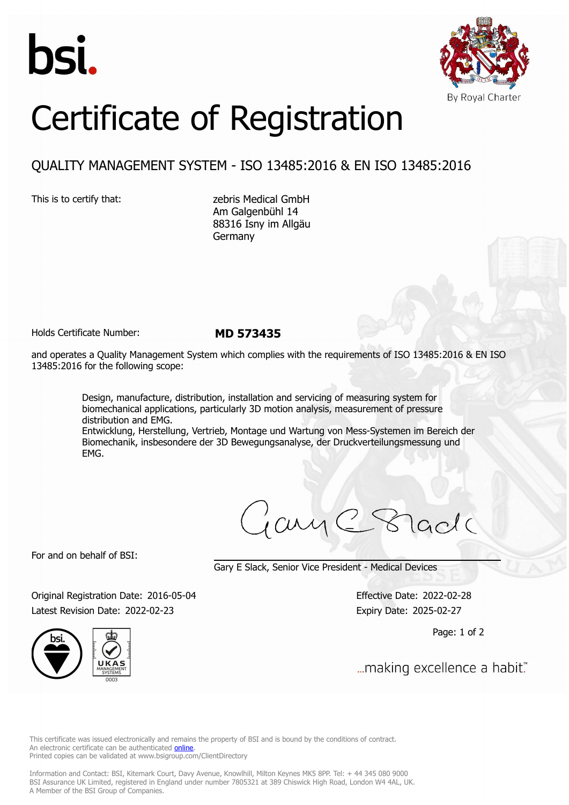



## Certificate of Registration

## QUALITY MANAGEMENT SYSTEM - ISO 13485:2016 & EN ISO 13485:2016

This is to certify that: zebris Medical GmbH Am Galgenbühl 14 88316 Isny im Allgäu Germany

Holds Certificate Number: **MD 573435**

and operates a Quality Management System which complies with the requirements of ISO 13485:2016 & EN ISO 13485:2016 for the following scope:

> Design, manufacture, distribution, installation and servicing of measuring system for biomechanical applications, particularly 3D motion analysis, measurement of pressure distribution and EMG.

Entwicklung, Herstellung, Vertrieb, Montage und Wartung von Mess-Systemen im Bereich der Biomechanik, insbesondere der 3D Bewegungsanalyse, der Druckverteilungsmessung und EMG.

jay C Stade

For and on behalf of BSI:

Gary E Slack, Senior Vice President - Medical Devices

Original Registration Date: 2016-05-04 Effective Date: 2022-02-28 Latest Revision Date: 2022-02-23 Expiry Date: 2025-02-27

Page: 1 of 2

... making excellence a habit."

This certificate was issued electronically and remains the property of BSI and is bound by the conditions of contract. An electronic certificate can be authenticated **[online](https://pgplus.bsigroup.com/CertificateValidation/CertificateValidator.aspx?CertificateNumber=MD+573435&ReIssueDate=23%2f02%2f2022&Template=uk)**. Printed copies can be validated at www.bsigroup.com/ClientDirectory

Information and Contact: BSI, Kitemark Court, Davy Avenue, Knowlhill, Milton Keynes MK5 8PP. Tel: + 44 345 080 9000 BSI Assurance UK Limited, registered in England under number 7805321 at 389 Chiswick High Road, London W4 4AL, UK. A Member of the BSI Group of Companies.